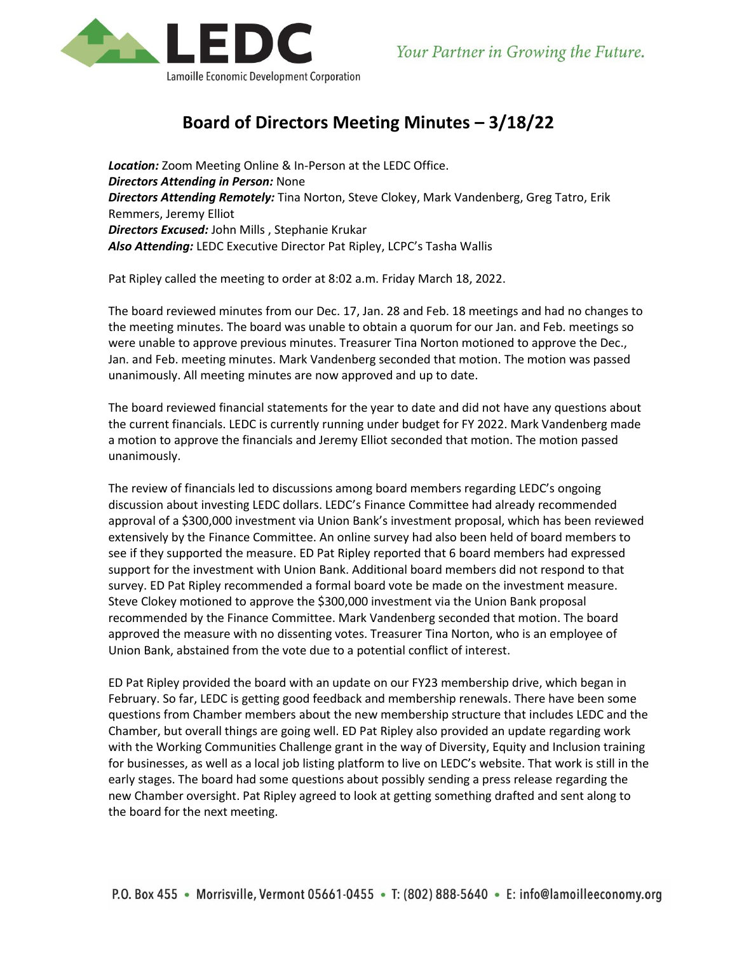

## **Board of Directors Meeting Minutes – 3/18/22**

*Location:* Zoom Meeting Online & In-Person at the LEDC Office. *Directors Attending in Person:* None *Directors Attending Remotely:* Tina Norton, Steve Clokey, Mark Vandenberg, Greg Tatro, Erik Remmers, Jeremy Elliot *Directors Excused:* John Mills , Stephanie Krukar *Also Attending:* LEDC Executive Director Pat Ripley, LCPC's Tasha Wallis

Pat Ripley called the meeting to order at 8:02 a.m. Friday March 18, 2022.

The board reviewed minutes from our Dec. 17, Jan. 28 and Feb. 18 meetings and had no changes to the meeting minutes. The board was unable to obtain a quorum for our Jan. and Feb. meetings so were unable to approve previous minutes. Treasurer Tina Norton motioned to approve the Dec., Jan. and Feb. meeting minutes. Mark Vandenberg seconded that motion. The motion was passed unanimously. All meeting minutes are now approved and up to date.

The board reviewed financial statements for the year to date and did not have any questions about the current financials. LEDC is currently running under budget for FY 2022. Mark Vandenberg made a motion to approve the financials and Jeremy Elliot seconded that motion. The motion passed unanimously.

The review of financials led to discussions among board members regarding LEDC's ongoing discussion about investing LEDC dollars. LEDC's Finance Committee had already recommended approval of a \$300,000 investment via Union Bank's investment proposal, which has been reviewed extensively by the Finance Committee. An online survey had also been held of board members to see if they supported the measure. ED Pat Ripley reported that 6 board members had expressed support for the investment with Union Bank. Additional board members did not respond to that survey. ED Pat Ripley recommended a formal board vote be made on the investment measure. Steve Clokey motioned to approve the \$300,000 investment via the Union Bank proposal recommended by the Finance Committee. Mark Vandenberg seconded that motion. The board approved the measure with no dissenting votes. Treasurer Tina Norton, who is an employee of Union Bank, abstained from the vote due to a potential conflict of interest.

ED Pat Ripley provided the board with an update on our FY23 membership drive, which began in February. So far, LEDC is getting good feedback and membership renewals. There have been some questions from Chamber members about the new membership structure that includes LEDC and the Chamber, but overall things are going well. ED Pat Ripley also provided an update regarding work with the Working Communities Challenge grant in the way of Diversity, Equity and Inclusion training for businesses, as well as a local job listing platform to live on LEDC's website. That work is still in the early stages. The board had some questions about possibly sending a press release regarding the new Chamber oversight. Pat Ripley agreed to look at getting something drafted and sent along to the board for the next meeting.